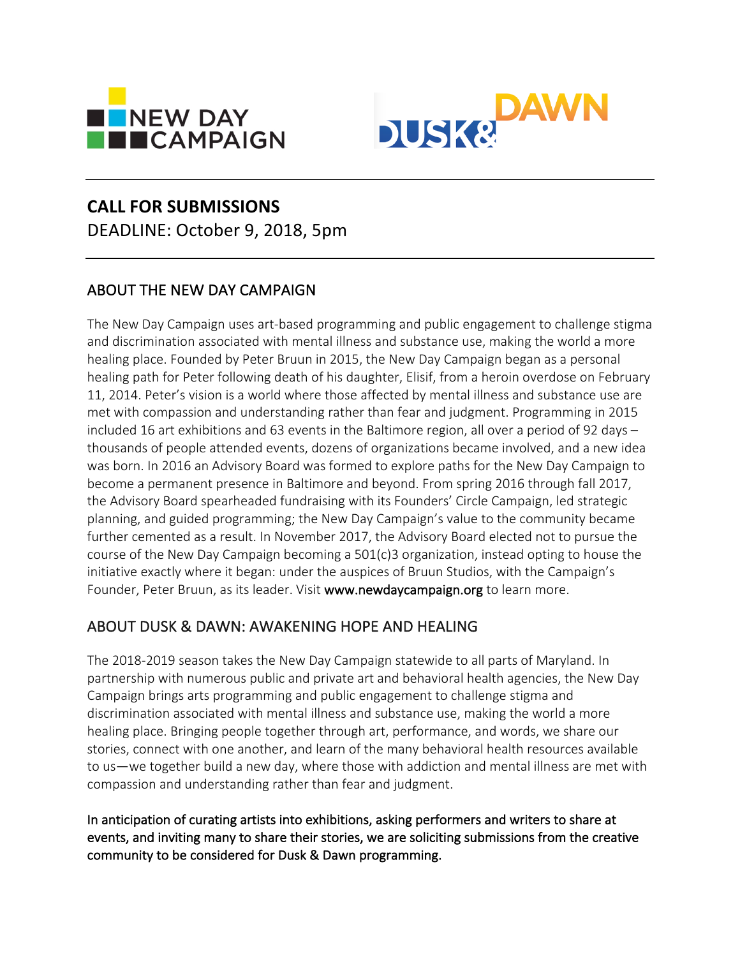



# **CALL FOR SUBMISSIONS**

DEADLINE: October 9, 2018, 5pm

## ABOUT THE NEW DAY CAMPAIGN

The New Day Campaign uses art-based programming and public engagement to challenge stigma and discrimination associated with mental illness and substance use, making the world a more healing place. Founded by Peter Bruun in 2015, the New Day Campaign began as a personal healing path for Peter following death of his daughter, Elisif, from a heroin overdose on February 11, 2014. Peter's vision is a world where those affected by mental illness and substance use are met with compassion and understanding rather than fear and judgment. Programming in 2015 included 16 art exhibitions and 63 events in the Baltimore region, all over a period of 92 days  $$ thousands of people attended events, dozens of organizations became involved, and a new idea was born. In 2016 an Advisory Board was formed to explore paths for the New Day Campaign to become a permanent presence in Baltimore and beyond. From spring 2016 through fall 2017, the Advisory Board spearheaded fundraising with its Founders' Circle Campaign, led strategic planning, and guided programming; the New Day Campaign's value to the community became further cemented as a result. In November 2017, the Advisory Board elected not to pursue the course of the New Day Campaign becoming a  $501(c)3$  organization, instead opting to house the initiative exactly where it began: under the auspices of Bruun Studios, with the Campaign's Founder, Peter Bruun, as its leader. Visit www.newdaycampaign.org to learn more.

## ABOUT DUSK & DAWN: AWAKENING HOPE AND HEALING

The 2018-2019 season takes the New Day Campaign statewide to all parts of Maryland. In partnership with numerous public and private art and behavioral health agencies, the New Day Campaign brings arts programming and public engagement to challenge stigma and discrimination associated with mental illness and substance use, making the world a more healing place. Bringing people together through art, performance, and words, we share our stories, connect with one another, and learn of the many behavioral health resources available to us—we together build a new day, where those with addiction and mental illness are met with compassion and understanding rather than fear and judgment.

In anticipation of curating artists into exhibitions, asking performers and writers to share at events, and inviting many to share their stories, we are soliciting submissions from the creative community to be considered for Dusk & Dawn programming.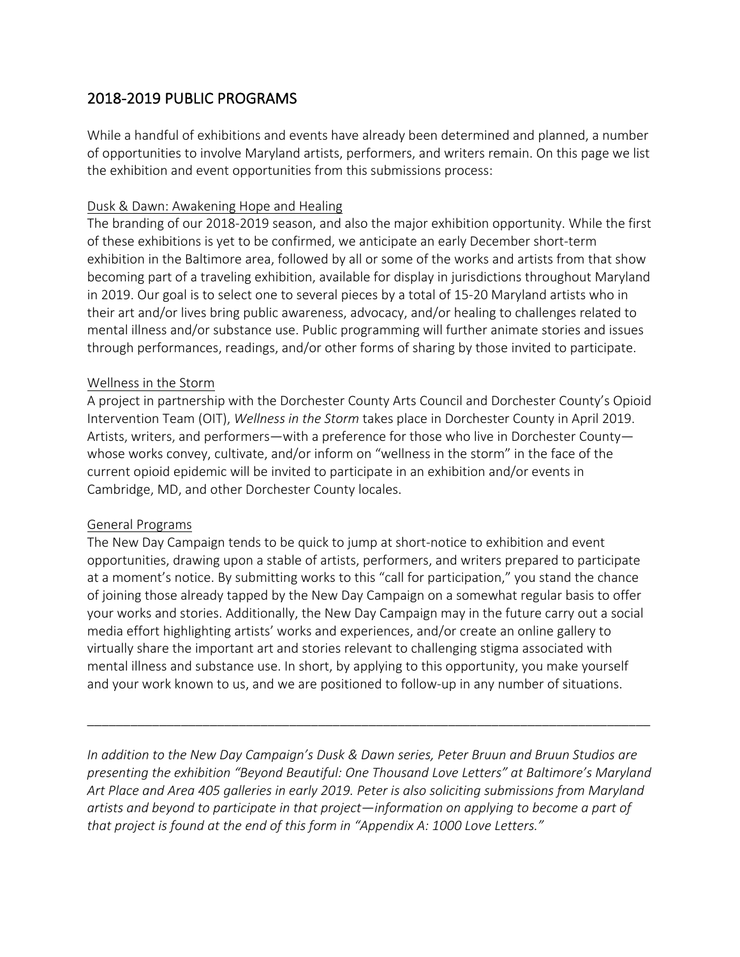## 2018-2019 PUBLIC PROGRAMS

While a handful of exhibitions and events have already been determined and planned, a number of opportunities to involve Maryland artists, performers, and writers remain. On this page we list the exhibition and event opportunities from this submissions process:

## Dusk & Dawn: Awakening Hope and Healing

The branding of our 2018-2019 season, and also the major exhibition opportunity. While the first of these exhibitions is yet to be confirmed, we anticipate an early December short-term exhibition in the Baltimore area, followed by all or some of the works and artists from that show becoming part of a traveling exhibition, available for display in jurisdictions throughout Maryland in 2019. Our goal is to select one to several pieces by a total of 15-20 Maryland artists who in their art and/or lives bring public awareness, advocacy, and/or healing to challenges related to mental illness and/or substance use. Public programming will further animate stories and issues through performances, readings, and/or other forms of sharing by those invited to participate.

## Wellness in the Storm

A project in partnership with the Dorchester County Arts Council and Dorchester County's Opioid Intervention Team (OIT), *Wellness in the Storm* takes place in Dorchester County in April 2019. Artists, writers, and performers—with a preference for those who live in Dorchester County whose works convey, cultivate, and/or inform on "wellness in the storm" in the face of the current opioid epidemic will be invited to participate in an exhibition and/or events in Cambridge, MD, and other Dorchester County locales.

## General Programs

The New Day Campaign tends to be quick to jump at short-notice to exhibition and event opportunities, drawing upon a stable of artists, performers, and writers prepared to participate at a moment's notice. By submitting works to this "call for participation," you stand the chance of joining those already tapped by the New Day Campaign on a somewhat regular basis to offer your works and stories. Additionally, the New Day Campaign may in the future carry out a social media effort highlighting artists' works and experiences, and/or create an online gallery to virtually share the important art and stories relevant to challenging stigma associated with mental illness and substance use. In short, by applying to this opportunity, you make yourself and your work known to us, and we are positioned to follow-up in any number of situations.

*In addition to the New Day Campaign's Dusk & Dawn series, Peter Bruun and Bruun Studios are* presenting the exhibition "Beyond Beautiful: One Thousand Love Letters" at Baltimore's Maryland Art Place and Area 405 galleries in early 2019. Peter is also soliciting submissions from Maryland *artists* and beyond to participate in that project—information on applying to become a part of *that project is found at the end of this form in "Appendix A: 1000 Love Letters."* 

\_\_\_\_\_\_\_\_\_\_\_\_\_\_\_\_\_\_\_\_\_\_\_\_\_\_\_\_\_\_\_\_\_\_\_\_\_\_\_\_\_\_\_\_\_\_\_\_\_\_\_\_\_\_\_\_\_\_\_\_\_\_\_\_\_\_\_\_\_\_\_\_\_\_\_\_\_\_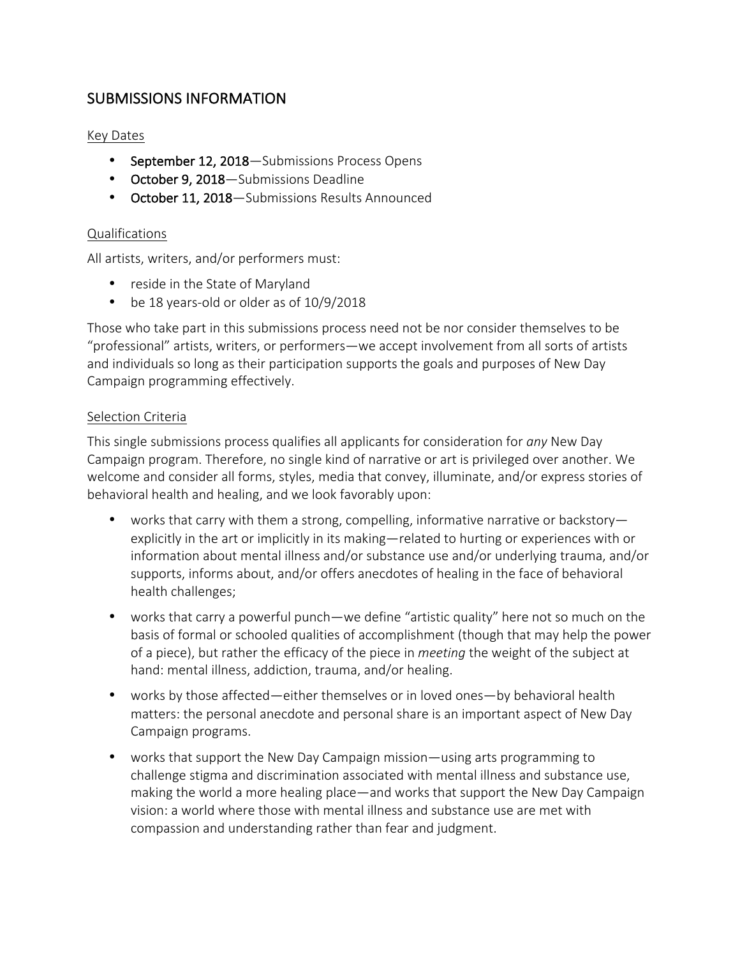## SUBMISSIONS INFORMATION

## Key Dates

- September 12, 2018-Submissions Process Opens
- October 9, 2018-Submissions Deadline
- October 11, 2018-Submissions Results Announced

## Qualifications

All artists, writers, and/or performers must:

- reside in the State of Maryland
- be 18 years-old or older as of 10/9/2018

Those who take part in this submissions process need not be nor consider themselves to be "professional" artists, writers, or performers—we accept involvement from all sorts of artists and individuals so long as their participation supports the goals and purposes of New Day Campaign programming effectively.

### Selection Criteria

This single submissions process qualifies all applicants for consideration for *any* New Day Campaign program. Therefore, no single kind of narrative or art is privileged over another. We welcome and consider all forms, styles, media that convey, illuminate, and/or express stories of behavioral health and healing, and we look favorably upon:

- works that carry with them a strong, compelling, informative narrative or backstory explicitly in the art or implicitly in its making—related to hurting or experiences with or information about mental illness and/or substance use and/or underlying trauma, and/or supports, informs about, and/or offers anecdotes of healing in the face of behavioral health challenges;
- works that carry a powerful punch—we define "artistic quality" here not so much on the basis of formal or schooled qualities of accomplishment (though that may help the power of a piece), but rather the efficacy of the piece in *meeting* the weight of the subject at hand: mental illness, addiction, trauma, and/or healing.
- works by those affected—either themselves or in loved ones—by behavioral health matters: the personal anecdote and personal share is an important aspect of New Day Campaign programs.
- works that support the New Day Campaign mission—using arts programming to challenge stigma and discrimination associated with mental illness and substance use, making the world a more healing place—and works that support the New Day Campaign vision: a world where those with mental illness and substance use are met with compassion and understanding rather than fear and judgment.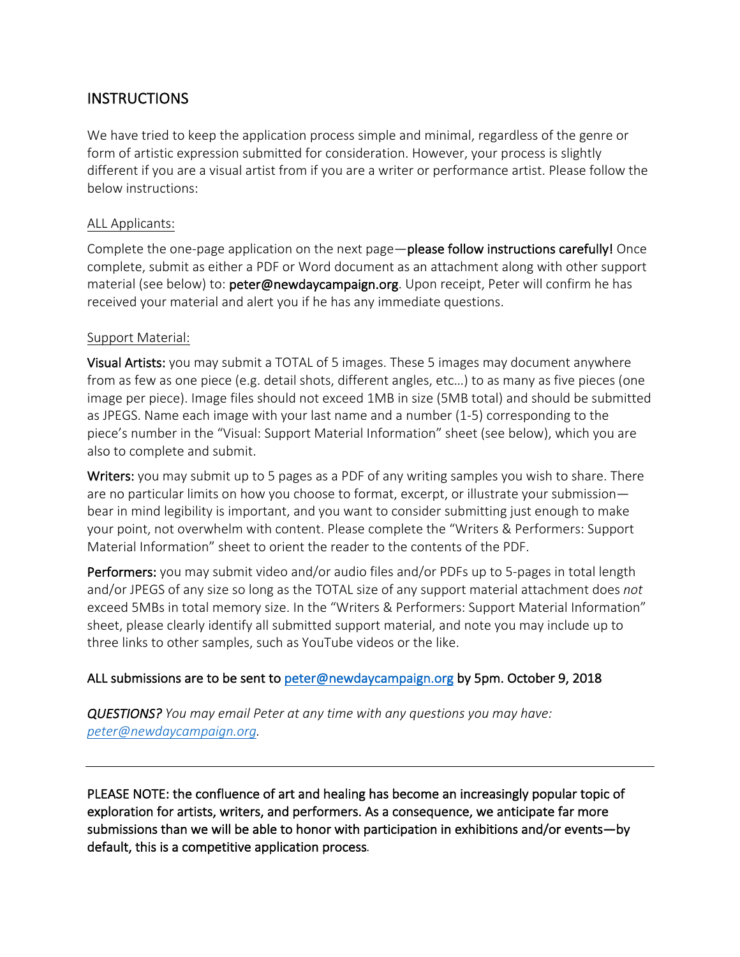## INSTRUCTIONS

We have tried to keep the application process simple and minimal, regardless of the genre or form of artistic expression submitted for consideration. However, your process is slightly different if you are a visual artist from if you are a writer or performance artist. Please follow the below instructions:

## ALL Applicants:

Complete the one-page application on the next page—please follow instructions carefully! Once complete, submit as either a PDF or Word document as an attachment along with other support material (see below) to: **peter@newdaycampaign.org**. Upon receipt, Peter will confirm he has received your material and alert you if he has any immediate questions.

## Support Material:

**Visual Artists:** you may submit a TOTAL of 5 images. These 5 images may document anywhere from as few as one piece (e.g. detail shots, different angles, etc...) to as many as five pieces (one image per piece). Image files should not exceed 1MB in size (5MB total) and should be submitted as JPEGS. Name each image with your last name and a number (1-5) corresponding to the piece's number in the "Visual: Support Material Information" sheet (see below), which you are also to complete and submit.

Writers: you may submit up to 5 pages as a PDF of any writing samples you wish to share. There are no particular limits on how you choose to format, excerpt, or illustrate your submission bear in mind legibility is important, and you want to consider submitting just enough to make your point, not overwhelm with content. Please complete the "Writers & Performers: Support Material Information" sheet to orient the reader to the contents of the PDF.

**Performers:** you may submit video and/or audio files and/or PDFs up to 5-pages in total length and/or JPEGS of any size so long as the TOTAL size of any support material attachment does *not* exceed 5MBs in total memory size. In the "Writers & Performers: Support Material Information" sheet, please clearly identify all submitted support material, and note you may include up to three links to other samples, such as YouTube videos or the like.

## ALL submissions are to be sent to peter@newdaycampaign.org by 5pm. October 9, 2018

*QUESTIONS? You may email Peter at any time with any questions you may have: peter@newdaycampaign.org.*

PLEASE NOTE: the confluence of art and healing has become an increasingly popular topic of exploration for artists, writers, and performers. As a consequence, we anticipate far more submissions than we will be able to honor with participation in exhibitions and/or events—by default, this is a competitive application process.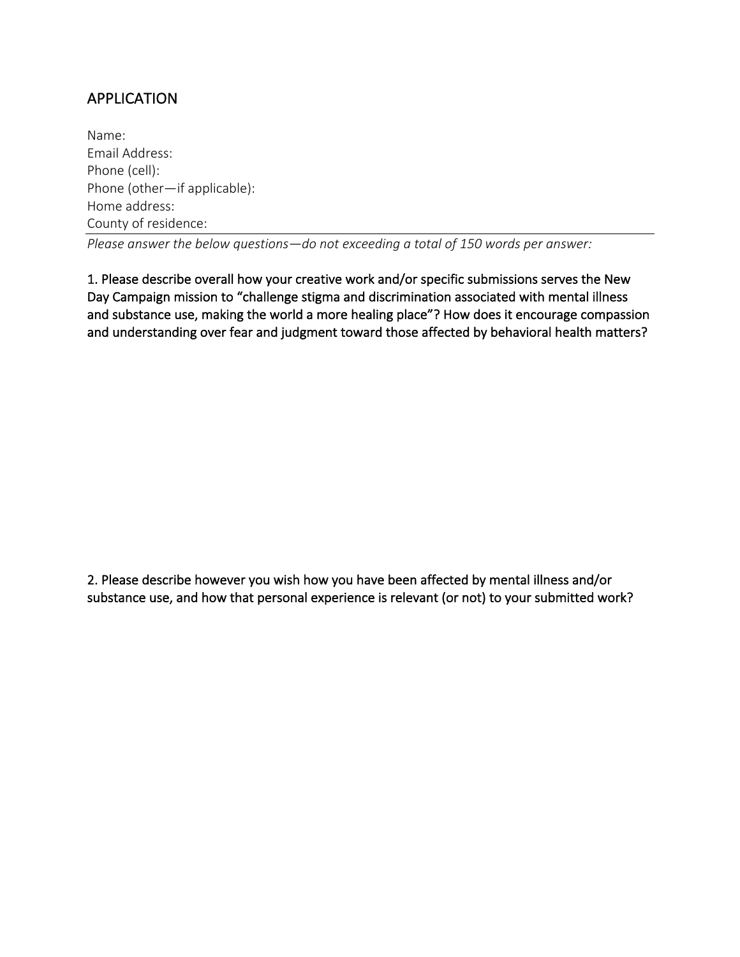## APPLICATION

Name: Email Address: Phone (cell): Phone (other-if applicable): Home address: County of residence:

*Please answer the below questions—do not exceeding a total of 150 words per answer:* 

1. Please describe overall how your creative work and/or specific submissions serves the New Day Campaign mission to "challenge stigma and discrimination associated with mental illness and substance use, making the world a more healing place"? How does it encourage compassion and understanding over fear and judgment toward those affected by behavioral health matters?

2. Please describe however you wish how you have been affected by mental illness and/or substance use, and how that personal experience is relevant (or not) to your submitted work?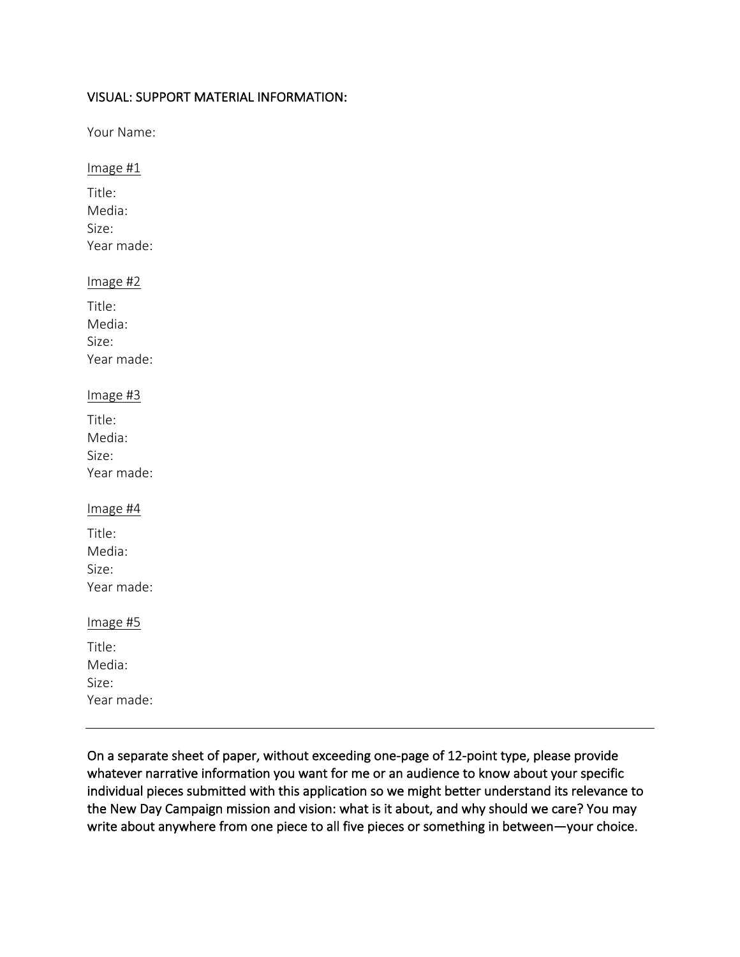## VISUAL: SUPPORT MATERIAL INFORMATION:

Your Name:

## Image #1

Title: Media: Size: Year made:

### Image #2

| Title:     |
|------------|
| Media:     |
| Size:      |
| Year made: |

### Image #3

#### Image #4

Title: Media: Size: Year made:

## Image #5

Title: Media: Size: Year made:

On a separate sheet of paper, without exceeding one-page of 12-point type, please provide whatever narrative information you want for me or an audience to know about your specific individual pieces submitted with this application so we might better understand its relevance to the New Day Campaign mission and vision: what is it about, and why should we care? You may write about anywhere from one piece to all five pieces or something in between—your choice.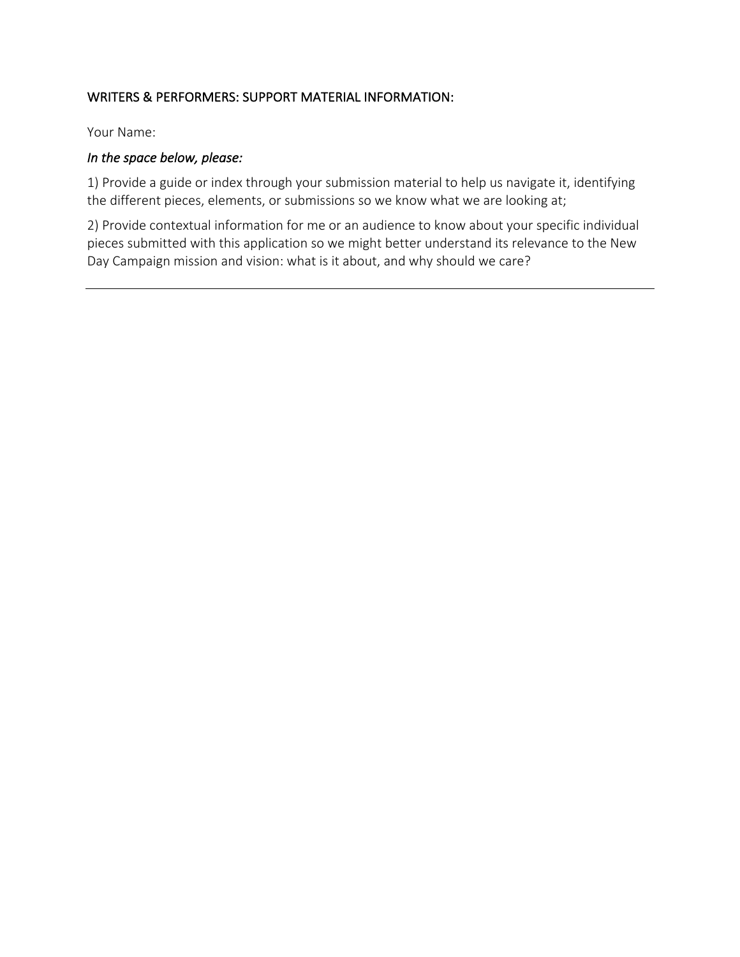## WRITERS & PERFORMERS: SUPPORT MATERIAL INFORMATION:

Your Name:

## In the space below, please:

1) Provide a guide or index through your submission material to help us navigate it, identifying the different pieces, elements, or submissions so we know what we are looking at;

2) Provide contextual information for me or an audience to know about your specific individual pieces submitted with this application so we might better understand its relevance to the New Day Campaign mission and vision: what is it about, and why should we care?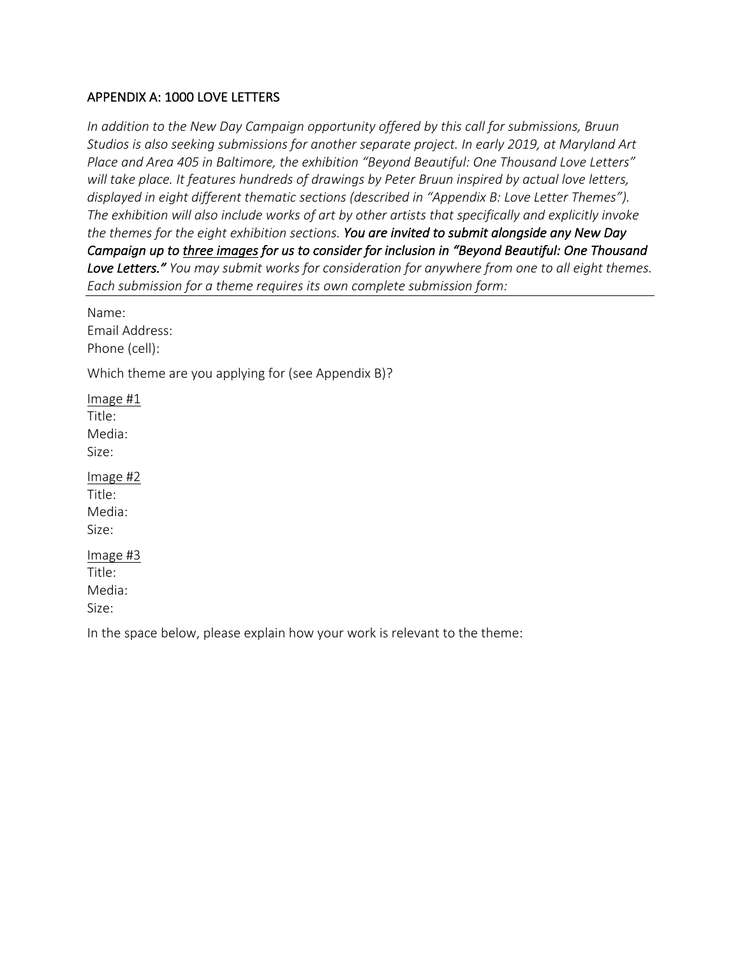### APPENDIX A: 1000 LOVE LETTERS

*In addition to the New Day Campaign opportunity offered by this call for submissions, Bruun* Studios is also seeking submissions for another separate project. In early 2019, at Maryland Art Place and Area 405 in Baltimore, the exhibition "Beyond Beautiful: One Thousand Love Letters" will take place. It features hundreds of drawings by Peter Bruun inspired by actual love letters, displayed in eight different thematic sections (described in "Appendix B: Love Letter Themes"). The exhibition will also include works of art by other artists that specifically and explicitly invoke the themes for the eight exhibition sections. You are invited to submit alongside any New Day *Campaign* up to three images for us to consider for inclusion in "Beyond Beautiful: One Thousand Love Letters." You may submit works for consideration for anywhere from one to all eight themes. *Each submission for a theme requires its own complete submission form:*

Name: Email Address: Phone (cell):

Which theme are you applying for (see Appendix B)?

Image #1 Title: Media: Size: Image #2 Title: Media: Size: Image #3 Title: Media: Size:

In the space below, please explain how your work is relevant to the theme: